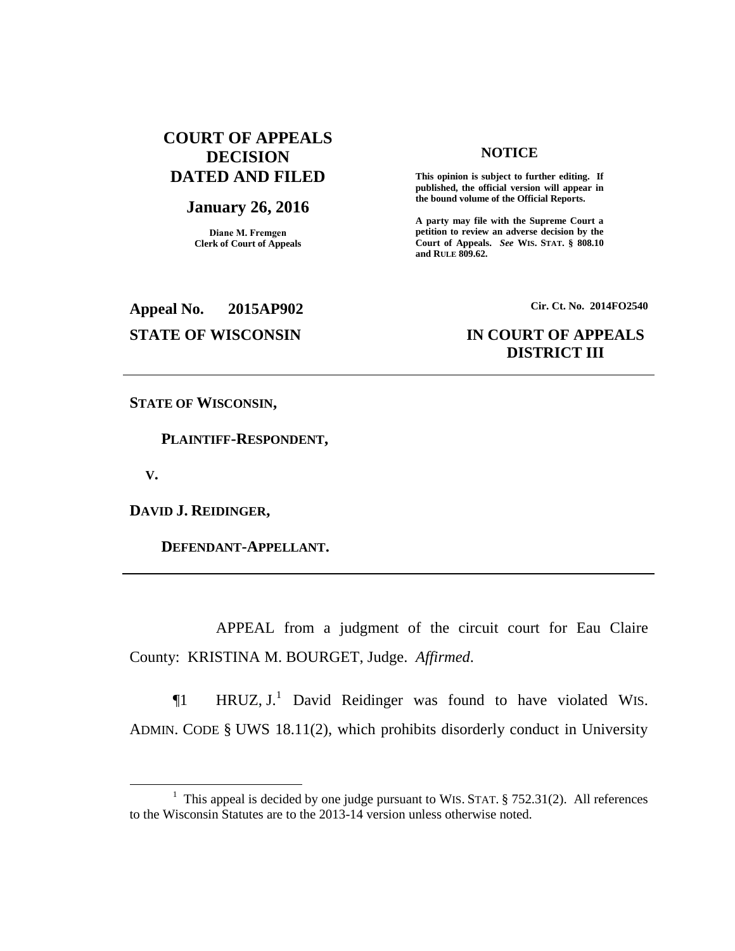# **COURT OF APPEALS DECISION DATED AND FILED**

## **January 26, 2016**

**Diane M. Fremgen Clerk of Court of Appeals**

#### **NOTICE**

**This opinion is subject to further editing. If published, the official version will appear in the bound volume of the Official Reports.** 

**A party may file with the Supreme Court a petition to review an adverse decision by the Court of Appeals.** *See* **WIS. STAT. § 808.10 and RULE 809.62.** 

**Appeal No. 2015AP902 Cir. Ct. No. 2014FO2540**

# **STATE OF WISCONSIN IN COURT OF APPEALS DISTRICT III**

**STATE OF WISCONSIN,**

 **PLAINTIFF-RESPONDENT,**

 **V.**

 $\overline{a}$ 

**DAVID J. REIDINGER,**

 **DEFENDANT-APPELLANT.**

APPEAL from a judgment of the circuit court for Eau Claire County: KRISTINA M. BOURGET, Judge. *Affirmed*.

 $\P$ 1 HRUZ, J.<sup>1</sup> David Reidinger was found to have violated WIS. ADMIN. CODE § UWS 18.11(2), which prohibits disorderly conduct in University

<sup>&</sup>lt;sup>1</sup> This appeal is decided by one judge pursuant to WIS. STAT.  $\S$  752.31(2). All references to the Wisconsin Statutes are to the 2013-14 version unless otherwise noted.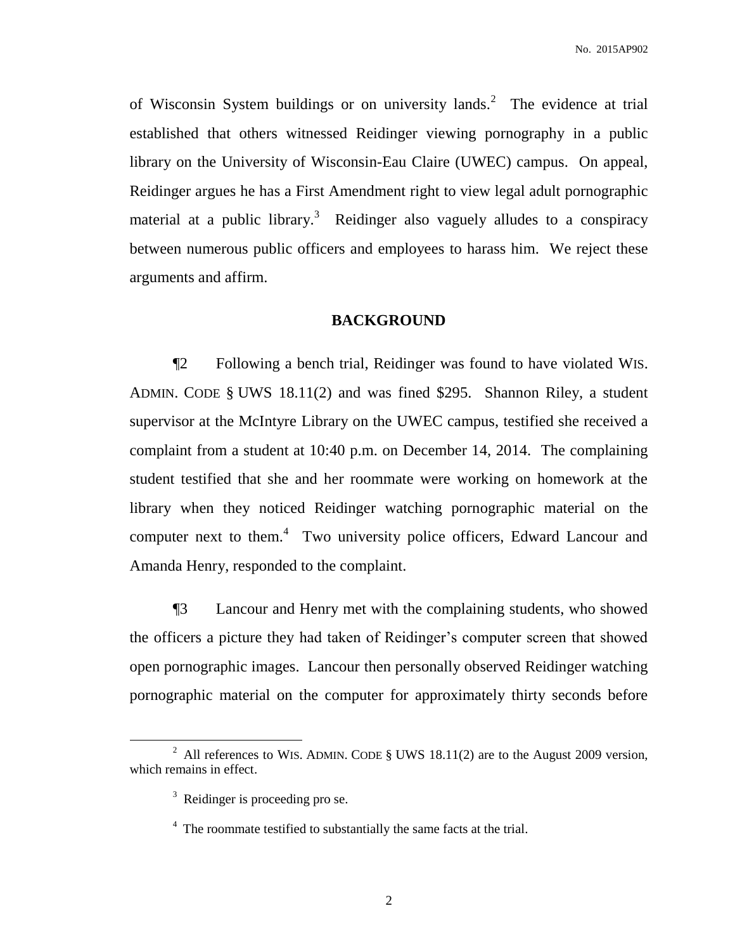of Wisconsin System buildings or on university lands.<sup>2</sup> The evidence at trial established that others witnessed Reidinger viewing pornography in a public library on the University of Wisconsin-Eau Claire (UWEC) campus. On appeal, Reidinger argues he has a First Amendment right to view legal adult pornographic material at a public library.<sup>3</sup> Reidinger also vaguely alludes to a conspiracy between numerous public officers and employees to harass him. We reject these arguments and affirm.

#### **BACKGROUND**

¶2 Following a bench trial, Reidinger was found to have violated WIS. ADMIN. CODE § UWS 18.11(2) and was fined \$295. Shannon Riley, a student supervisor at the McIntyre Library on the UWEC campus, testified she received a complaint from a student at 10:40 p.m. on December 14, 2014. The complaining student testified that she and her roommate were working on homework at the library when they noticed Reidinger watching pornographic material on the computer next to them.<sup>4</sup> Two university police officers, Edward Lancour and Amanda Henry, responded to the complaint.

¶3 Lancour and Henry met with the complaining students, who showed the officers a picture they had taken of Reidinger's computer screen that showed open pornographic images. Lancour then personally observed Reidinger watching pornographic material on the computer for approximately thirty seconds before

 $\overline{a}$ 

<sup>&</sup>lt;sup>2</sup> All references to WIS. ADMIN. CODE  $\S$  UWS 18.11(2) are to the August 2009 version, which remains in effect.

 $3$  Reidinger is proceeding pro se.

<sup>&</sup>lt;sup>4</sup> The roommate testified to substantially the same facts at the trial.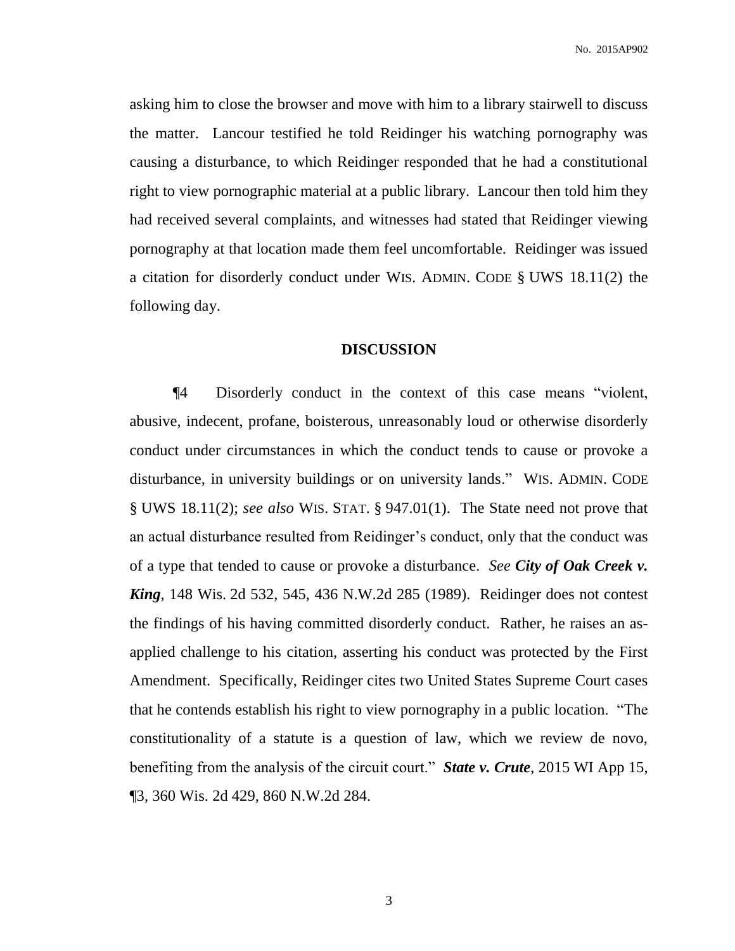No. 2015AP902

asking him to close the browser and move with him to a library stairwell to discuss the matter. Lancour testified he told Reidinger his watching pornography was causing a disturbance, to which Reidinger responded that he had a constitutional right to view pornographic material at a public library. Lancour then told him they had received several complaints, and witnesses had stated that Reidinger viewing pornography at that location made them feel uncomfortable. Reidinger was issued a citation for disorderly conduct under WIS. ADMIN. CODE § UWS 18.11(2) the following day.

### **DISCUSSION**

¶4 Disorderly conduct in the context of this case means "violent, abusive, indecent, profane, boisterous, unreasonably loud or otherwise disorderly conduct under circumstances in which the conduct tends to cause or provoke a disturbance, in university buildings or on university lands." WIS. ADMIN. CODE § UWS 18.11(2); *see also* WIS. STAT. § 947.01(1). The State need not prove that an actual disturbance resulted from Reidinger's conduct, only that the conduct was of a type that tended to cause or provoke a disturbance. *See City of Oak Creek v. King*, 148 Wis. 2d 532, 545, 436 N.W.2d 285 (1989). Reidinger does not contest the findings of his having committed disorderly conduct. Rather, he raises an asapplied challenge to his citation, asserting his conduct was protected by the First Amendment. Specifically, Reidinger cites two United States Supreme Court cases that he contends establish his right to view pornography in a public location. "The constitutionality of a statute is a question of law, which we review de novo, benefiting from the analysis of the circuit court." *State v. Crute*, 2015 WI App 15, ¶3, 360 Wis. 2d 429, 860 N.W.2d 284.

3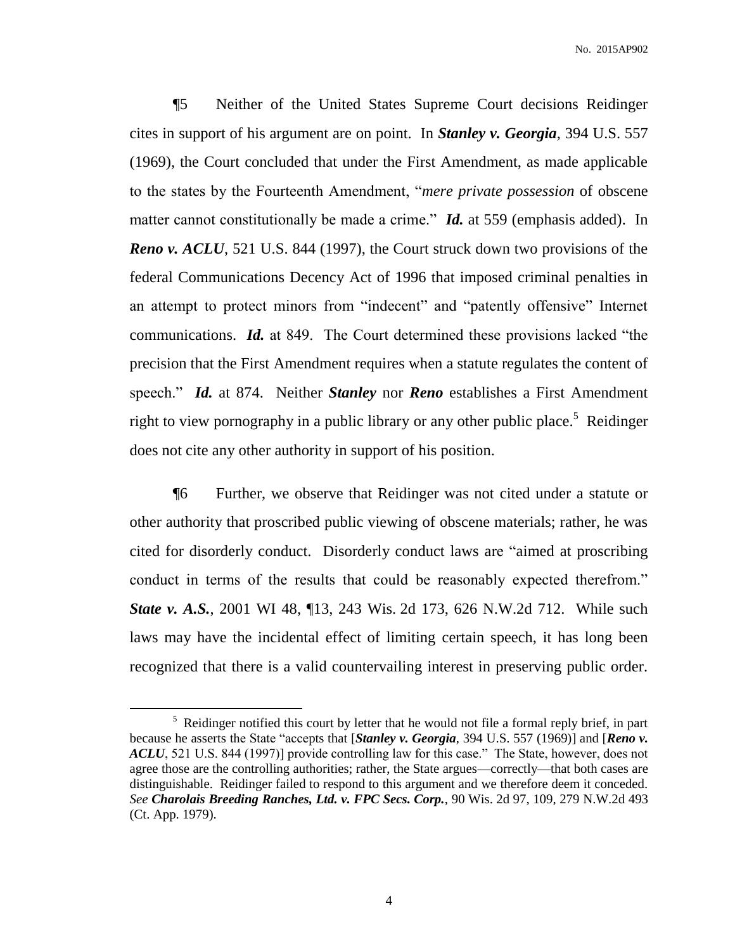¶5 Neither of the United States Supreme Court decisions Reidinger cites in support of his argument are on point. In *Stanley v. Georgia*, 394 U.S. 557 (1969), the Court concluded that under the First Amendment, as made applicable to the states by the Fourteenth Amendment, "*mere private possession* of obscene matter cannot constitutionally be made a crime." *Id.* at 559 (emphasis added). In *Reno v. ACLU*, 521 U.S. 844 (1997), the Court struck down two provisions of the federal Communications Decency Act of 1996 that imposed criminal penalties in an attempt to protect minors from "indecent" and "patently offensive" Internet communications. *Id.* at 849. The Court determined these provisions lacked "the precision that the First Amendment requires when a statute regulates the content of speech." *Id.* at 874. Neither *Stanley* nor *Reno* establishes a First Amendment right to view pornography in a public library or any other public place.<sup>5</sup> Reidinger does not cite any other authority in support of his position.

¶6 Further, we observe that Reidinger was not cited under a statute or other authority that proscribed public viewing of obscene materials; rather, he was cited for disorderly conduct. Disorderly conduct laws are "aimed at proscribing conduct in terms of the results that could be reasonably expected therefrom." *State v. A.S.*, 2001 WI 48, 13, 243 Wis. 2d 173, 626 N.W.2d 712. While such laws may have the incidental effect of limiting certain speech, it has long been recognized that there is a valid countervailing interest in preserving public order.

 $\overline{a}$ 

 $<sup>5</sup>$  Reidinger notified this court by letter that he would not file a formal reply brief, in part</sup> because he asserts the State "accepts that [*Stanley v. Georgia*, 394 U.S. 557 (1969)] and [*Reno v. ACLU*, 521 U.S. 844 (1997)] provide controlling law for this case." The State, however, does not agree those are the controlling authorities; rather, the State argues—correctly—that both cases are distinguishable. Reidinger failed to respond to this argument and we therefore deem it conceded. *See Charolais Breeding Ranches, Ltd. v. FPC Secs. Corp.*, 90 Wis. 2d 97, 109, 279 N.W.2d 493 (Ct. App. 1979).